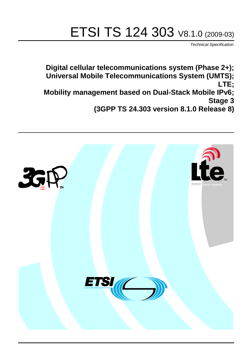# ETSI TS 124 303 V8.1.0 (2009-03)

*Technical Specification*

**Digital cellular telecommunications system (Phase 2+); Universal Mobile Telecommunications System (UMTS); LTE; Mobility management based on Dual-Stack Mobile IPv6; Stage 3 (3GPP TS 24.303 version 8.1.0 Release 8)**

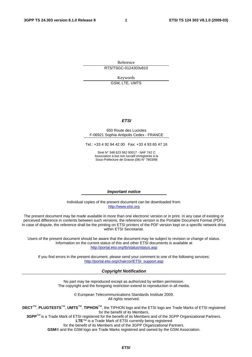Reference RTS/TSGC-0124303v810

Keywords

GSM, LTE, UMTS

#### *ETSI*

#### 650 Route des Lucioles F-06921 Sophia Antipolis Cedex - FRANCE

Tel.: +33 4 92 94 42 00 Fax: +33 4 93 65 47 16

Siret N° 348 623 562 00017 - NAF 742 C Association à but non lucratif enregistrée à la Sous-Préfecture de Grasse (06) N° 7803/88

#### *Important notice*

Individual copies of the present document can be downloaded from: [http://www.etsi.org](http://www.etsi.org/)

The present document may be made available in more than one electronic version or in print. In any case of existing or perceived difference in contents between such versions, the reference version is the Portable Document Format (PDF). In case of dispute, the reference shall be the printing on ETSI printers of the PDF version kept on a specific network drive within ETSI Secretariat.

Users of the present document should be aware that the document may be subject to revision or change of status. Information on the current status of this and other ETSI documents is available at <http://portal.etsi.org/tb/status/status.asp>

If you find errors in the present document, please send your comment to one of the following services: [http://portal.etsi.org/chaircor/ETSI\\_support.asp](http://portal.etsi.org/chaircor/ETSI_support.asp)

#### *Copyright Notification*

No part may be reproduced except as authorized by written permission. The copyright and the foregoing restriction extend to reproduction in all media.

> © European Telecommunications Standards Institute 2009. All rights reserved.

**DECT**TM, **PLUGTESTS**TM, **UMTS**TM, **TIPHON**TM, the TIPHON logo and the ETSI logo are Trade Marks of ETSI registered for the benefit of its Members.

**3GPP**TM is a Trade Mark of ETSI registered for the benefit of its Members and of the 3GPP Organizational Partners. **LTE**™ is a Trade Mark of ETSI currently being registered

for the benefit of its Members and of the 3GPP Organizational Partners.

**GSM**® and the GSM logo are Trade Marks registered and owned by the GSM Association.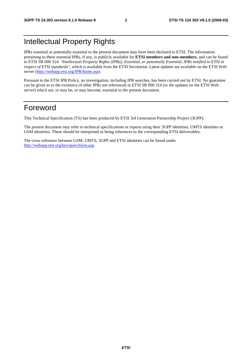## Intellectual Property Rights

IPRs essential or potentially essential to the present document may have been declared to ETSI. The information pertaining to these essential IPRs, if any, is publicly available for **ETSI members and non-members**, and can be found in ETSI SR 000 314: *"Intellectual Property Rights (IPRs); Essential, or potentially Essential, IPRs notified to ETSI in respect of ETSI standards"*, which is available from the ETSI Secretariat. Latest updates are available on the ETSI Web server [\(http://webapp.etsi.org/IPR/home.asp](http://webapp.etsi.org/IPR/home.asp)).

Pursuant to the ETSI IPR Policy, no investigation, including IPR searches, has been carried out by ETSI. No guarantee can be given as to the existence of other IPRs not referenced in ETSI SR 000 314 (or the updates on the ETSI Web server) which are, or may be, or may become, essential to the present document.

## Foreword

This Technical Specification (TS) has been produced by ETSI 3rd Generation Partnership Project (3GPP).

The present document may refer to technical specifications or reports using their 3GPP identities, UMTS identities or GSM identities. These should be interpreted as being references to the corresponding ETSI deliverables.

The cross reference between GSM, UMTS, 3GPP and ETSI identities can be found under <http://webapp.etsi.org/key/queryform.asp>.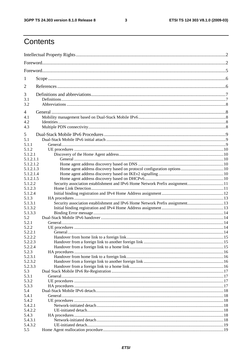$\mathbf{3}$ 

## Contents

| 1                |                                                                              |  |
|------------------|------------------------------------------------------------------------------|--|
| 2                |                                                                              |  |
| 3                |                                                                              |  |
| 3.1<br>3.2       |                                                                              |  |
| 4                |                                                                              |  |
| 4.1              |                                                                              |  |
| 4.2<br>4.3       |                                                                              |  |
|                  |                                                                              |  |
| 5<br>5.1         |                                                                              |  |
| 5.1.1            |                                                                              |  |
| 5.1.2            |                                                                              |  |
| 5.1.2.1          |                                                                              |  |
| 5.1.2.1.1        |                                                                              |  |
| 5.1.2.1.2        |                                                                              |  |
| 5.1.2.1.3        |                                                                              |  |
| 5.1.2.1.4        |                                                                              |  |
| 5.1.2.1.5        |                                                                              |  |
| 5.1.2.2          | Security association establishment and IPv6 Home Network Prefix assignment11 |  |
| 5.1.2.3          |                                                                              |  |
| 5.1.2.4          |                                                                              |  |
| 5.1.3<br>5.1.3.1 |                                                                              |  |
| 5.1.3.2          | Security association establishment and IPv6 Home Network Prefix assignment13 |  |
| 5.1.3.3          |                                                                              |  |
| 5.2              |                                                                              |  |
| 5.2.1            |                                                                              |  |
| 5.2.2            |                                                                              |  |
| 5.2.2.1          |                                                                              |  |
| 5.2.2.2          |                                                                              |  |
| 5.2.2.3          |                                                                              |  |
| 5.2.2.4          |                                                                              |  |
| 5.2.3            |                                                                              |  |
| 5.2.3.1          |                                                                              |  |
| 5.2.3.2          |                                                                              |  |
| 5.2.3.3          |                                                                              |  |
| 5.3              |                                                                              |  |
| 5.3.1            |                                                                              |  |
| 5.3.2            |                                                                              |  |
| 5.3.3            |                                                                              |  |
| 5.4              |                                                                              |  |
| 5.4.1<br>5.4.2   |                                                                              |  |
| 5.4.2.1          |                                                                              |  |
| 5.4.2.2          |                                                                              |  |
| 5.4.3            |                                                                              |  |
| 5.4.3.1          |                                                                              |  |
| 5.4.3.2          |                                                                              |  |
| 5.5              |                                                                              |  |
|                  |                                                                              |  |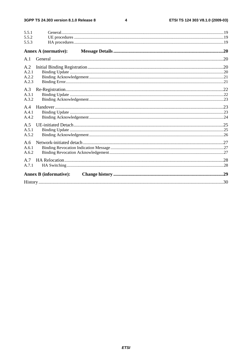#### $\overline{\mathbf{4}}$

| 5.5.1<br>5.5.2<br>5.5.3        |                               |  |
|--------------------------------|-------------------------------|--|
|                                | <b>Annex A (normative):</b>   |  |
| A.1                            |                               |  |
| A.2<br>A.2.1<br>A.2.2<br>A.2.3 |                               |  |
| A.3<br>A.3.1<br>A.3.2          |                               |  |
| A.4<br>A.4.1<br>A.4.2          |                               |  |
| A.5<br>A.5.1<br>A.5.2          |                               |  |
| A.6<br>A.6.1<br>A.6.2          |                               |  |
| A.7<br>A.7.1                   |                               |  |
|                                | <b>Annex B (informative):</b> |  |
|                                |                               |  |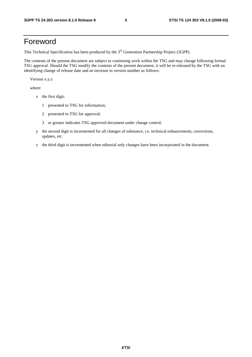## Foreword

This Technical Specification has been produced by the 3<sup>rd</sup> Generation Partnership Project (3GPP).

The contents of the present document are subject to continuing work within the TSG and may change following formal TSG approval. Should the TSG modify the contents of the present document, it will be re-released by the TSG with an identifying change of release date and an increase in version number as follows:

Version x.y.z

where:

- x the first digit:
	- 1 presented to TSG for information;
	- 2 presented to TSG for approval;
	- 3 or greater indicates TSG approved document under change control.
- y the second digit is incremented for all changes of substance, i.e. technical enhancements, corrections, updates, etc.
- z the third digit is incremented when editorial only changes have been incorporated in the document.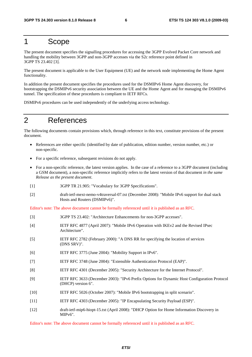## 1 Scope

The present document specifies the signalling procedures for accessing the 3GPP Evolved Packet Core network and handling the mobility between 3GPP and non-3GPP accesses via the S2c reference point defined in 3GPP TS 23.402 [3].

The present document is applicable to the User Equipment (UE) and the network node implementing the Home Agent functionality.

In addition the present document specifies the procedures used for the DSMIPv6 Home Agent discovery, for bootstrapping the DSMIPv6 security association between the UE and the Home Agent and for managing the DSMIPv6 tunnel. The specification of these procedures is compliant to IETF RFCs.

DSMIPv6 procedures can be used independently of the underlying access technology.

## 2 References

The following documents contain provisions which, through reference in this text, constitute provisions of the present document.

- References are either specific (identified by date of publication, edition number, version number, etc.) or non-specific.
- For a specific reference, subsequent revisions do not apply.
- For a non-specific reference, the latest version applies. In the case of a reference to a 3GPP document (including a GSM document), a non-specific reference implicitly refers to the latest version of that document *in the same Release as the present document*.
- [1] 3GPP TR 21.905: "Vocabulary for 3GPP Specifications".
- [2] draft-ietf-mext-nemo-v4traversal-07.txt (December 2008): "Mobile IPv6 support for dual stack Hosts and Routers (DSMIPv6)".

Editor's note: The above document cannot be formally referenced until it is published as an RFC.

| $\lceil 3 \rceil$ | 3GPP TS 23.402: "Architecture Enhancements for non-3GPP accesses".                                                |
|-------------------|-------------------------------------------------------------------------------------------------------------------|
| [4]               | IETF RFC 4877 (April 2007): "Mobile IPv6 Operation with IKEv2 and the Revised IPsec<br>Architecture".             |
| $\lceil 5 \rceil$ | IETF RFC 2782 (February 2000): "A DNS RR for specifying the location of services<br>(DNS SRV)".                   |
| [6]               | IETF RFC 3775 (June 2004): "Mobility Support in IPv6".                                                            |
| $[7]$             | IETF RFC 3748 (June 2004): "Extensible Authentication Protocol (EAP)".                                            |
| [8]               | IETF RFC 4301 (December 2005): "Security Architecture for the Internet Protocol".                                 |
| $[9]$             | IETF RFC 3633 (December 2003): "IPv6 Prefix Options for Dynamic Host Configuration Protocol<br>(DHCP) version 6". |
| $[10]$            | IETF RFC 5026 (October 2007): "Mobile IPv6 bootstrapping in split scenario".                                      |
| $[11]$            | IETF RFC 4303 (December 2005): "IP Encapsulating Security Payload (ESP)".                                         |
| $[12]$            | draft-ietf-mip6-hiopt-15.txt (April 2008): "DHCP Option for Home Information Discovery in<br>MIPv6".              |

Editor's note: The above document cannot be formally referenced until it is published as an RFC.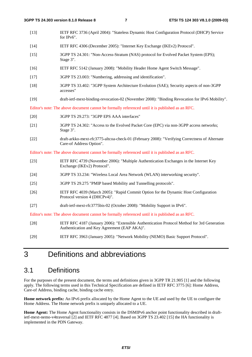[13] IETF RFC 3736 (April 2004): "Stateless Dynamic Host Configuration Protocol (DHCP) Service for IPv6". [14] IETF RFC 4306 (December 2005): "Internet Key Exchange (IKEv2) Protocol". [15] 3GPP TS 24.301: "Non-Access-Stratum (NAS) protocol for Evolved Packet System (EPS); Stage 3". [16] IETF RFC 5142 (January 2008): "Mobility Header Home Agent Switch Message". [17] 3GPP TS 23.003: "Numbering, addressing and identification". [18] 3GPP TS 33.402: "3GPP System Architecture Evolution (SAE); Security aspects of non-3GPP accesses" [19] draft-ietf-mext-binding-revocation-02 (November 2008): "Binding Revocation for IPv6 Mobility". Editor's note: The above document cannot be formally referenced until it is published as an RFC. [20] 3GPP TS 29.273: "3GPP EPS AAA interfaces" [21] 3GPP TS 24.302: "Access to the Evolved Packet Core (EPC) via non-3GPP access networks; Stage 3". [22] draft-arkko-mext-rfc3775-altcoa-check-01 (February 2008): "Verifying Correctness of Alternate Care-of Address Option". Editor's note: The above document cannot be formally referenced until it is published as an RFC. [23] IETF RFC 4739 (November 2006): "Multiple Authentication Exchanges in the Internet Key Exchange (IKEv2) Protocol". [24] 3GPP TS 33.234: "Wireless Local Area Network (WLAN) interworking security". [25] 3GPP TS 29.275 "PMIP based Mobility and Tunnelling protocols". [26] IETF RFC 4039 (March 2005): "Rapid Commit Option for the Dynamic Host Configuration Protocol version 4 (DHCPv4)". [27] draft-ietf-mext-rfc3775bis-02 (October 2008): "Mobility Support in IPv6". Editor's note: The above document cannot be formally referenced until it is published as an RFC. [28] IETF RFC 4187 (January 2006): "Extensible Authentication Protocol Method for 3rd Generation Authentication and Key Agreement (EAP AKA)". [29] IETF RFC 3963 (January 2005): "Network Mobility (NEMO) Basic Support Protocol".

## 3 Definitions and abbreviations

### 3.1 Definitions

For the purposes of the present document, the terms and definitions given in 3GPP TR 21.905 [1] and the following apply. The following terms used in this Technical Specification are defined in IETF RFC 3775 [6]: Home Address, Care-of Address, binding cache, binding cache entry.

**Home network prefix:** An IPv6 prefix allocated by the Home Agent to the UE and used by the UE to configure the Home Address. The Home network prefix is uniquely allocated to a UE.

**Home Agent:** The Home Agent functionality consists in the DSMIPv6 anchor point functionality described in draftietf-mext-nemo-v4traversal [2] and IETF RFC 4877 [4]. Based on 3GPP TS 23.402 [15] the HA functionality is implemented in the PDN Gateway.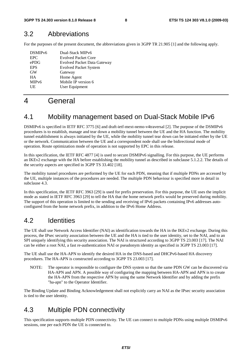### 3.2 Abbreviations

For the purposes of the present document, the abbreviations given in 3GPP TR 21.905 [1] and the following apply.

| DSMIP <sub>v6</sub> | Dual-Stack MIPv6                   |
|---------------------|------------------------------------|
| <b>EPC</b>          | <b>Evolved Packet Core</b>         |
| ePDG                | <b>Evolved Packet Data Gateway</b> |
| <b>EPS</b>          | <b>Evolved Packet System</b>       |
| <b>GW</b>           | Gateway                            |
| <b>HA</b>           | Home Agent                         |
| MIP <sub>v</sub> 6  | Mobile IP version 6                |
| UE                  | User Equipment                     |
|                     |                                    |

## 4 General

## 4.1 Mobility management based on Dual-Stack Mobile IPv6

DSMIPv6 is specified in IETF RFC 3775 [6] and draft-ietf-mext-nemo-v4traversal [2]. The purpose of the DSMIPv6 procedures is to establish, manage and tear down a mobility tunnel between the UE and the HA function. The mobility tunnel establishment is always initiated by the UE, while the mobility tunnel tear down can be initiated either by the UE or the network. Communication between the UE and a correspondent node shall use the bidirectional mode of operation. Route optimization mode of operation is not supported by EPC in this release.

In this specification, the IETF RFC 4877 [4] is used to secure DSMIPv6 signalling. For this purpose, the UE performs an IKEv2 exchange with the HA before establishing the mobility tunnel as described in subclause 5.1.2.2. The details of the security aspects are specified in 3GPP TS 33.402 [18].

The mobility tunnel procedures are performed by the UE for each PDN, meaning that if multiple PDNs are accessed by the UE, multiple instances of the procedures are needed. The multiple PDN behaviour is specified more in detail in subclause 4.3.

In this specification, the IETF RFC 3963 [29] is used for prefix preservation. For this purpose, the UE uses the implicit mode as stated in IETF RFC 3963 [29] to tell the HA that the home network prefix would be preserved during mobility. The support of this operation is limited to the sending and receiving of IPv6 packets containing IPv6 addresses autoconfigured from the home network prefix, in addition to the IPv6 Home Address.

### 4.2 Identities

The UE shall use Network Access Identifier (NAI) as identification towards the HA in the IKEv2 exchange. During this process, the IPsec security association between the UE and the HA is tied to the user identity, set to the NAI, and to an SPI uniquely identifying this security association. The NAI is structured according to 3GPP TS 23.003 [17]. The NAI can be either a root NAI, a fast re-authentication NAI or pseudonym identity as specified in 3GPP TS 23.003 [17].

The UE shall use the HA-APN to identify the desired HA in the DNS-based and DHCPv6-based HA discovery procedures. The HA-APN is constructed according to 3GPP TS 23.003 [17].

NOTE: The operator is responsible to configure the DNS system so that the same PDN GW can be discovered via HA-APN and APN. A possible way of configuring the mapping between HA-APN and APN is to create the HA-APN from the respective APN by using the same Network Identifier and by adding the prefix "ha-apn" to the Operator Identifier.

The Binding Update and Binding Acknowledgement shall not explicitly carry an NAI as the IPsec security association is tied to the user identity.

## 4.3 Multiple PDN connectivity

This specification supports multiple PDN connectivity. The UE can connect to multiple PDNs using multiple DSMIPv6 sessions, one per each PDN the UE is connected to.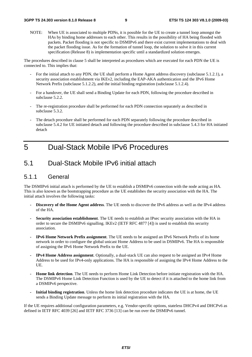NOTE: When UE is associated to multiple PDNs, it is possible for the UE to create a tunnel loop amongst the HAs by binding home addresses to each other. This results in the possibility of HA being flooded with packets. Packet flooding is not specific to DSMIPv6 and there exist current implementations to deal with the packet flooding issue. As for the formation of tunnel loop, the solution to solve it in this current specification (Release 8) is implementation specific until a standardized solution emerges.

The procedures described in clause 5 shall be interpreted as procedures which are executed for each PDN the UE is connected to. This implies that:

- For the initial attach to any PDN, the UE shall perform a Home Agent address discovery (subclause 5.1.2.1), a security association establishment via IKEv2, including the EAP-AKA authentication and the IPv6 Home Network Prefix (subclause 5.1.2.2), and the initial binding registration (subclause 5.1.2.4).
- For a handover, the UE shall send a Binding Update for each PDN, following the procedure described in subclause 5.2.2.
- The re-registration procedure shall be performed for each PDN connection separately as described in subclause 5.3.2.
- The detach procedure shall be performed for each PDN separately following the procedure described in subclause 5.4.2 for UE initiated detach and following the procedure described in subclause 5.4.3 for HA initiated detach

## 5 Dual-Stack Mobile IPv6 Procedures

### 5.1 Dual-Stack Mobile IPv6 initial attach

### 5.1.1 General

The DSMIPv6 initial attach is performed by the UE to establish a DSMIPv6 connection with the node acting as HA. This is also known as the bootstrapping procedure as the UE establishes the security association with the HA. The initial attach involves the following tasks:

- **Discovery of the Home Agent address**. The UE needs to discover the IPv6 address as well as the IPv4 address of the HA.
- **Security association establishment**. The UE needs to establish an IPsec security association with the HA in order to secure the DSMIPv6 signalling. IKEv2 (IETF RFC 4877 [4]) is used to establish this security association.
- **IPv6 Home Network Prefix assignment**. The UE needs to be assigned an IPv6 Network Prefix of its home network in order to configure the global unicast Home Address to be used in DSMIPv6. The HA is responsible of assigning the IPv6 Home Network Prefix to the UE.
- **IPv4 Home Address assignment**. Optionally, a dual-stack UE can also request to be assigned an IPv4 Home Address to be used for IPv4-only applications. The HA is responsible of assigning the IPv4 Home Address to the UE.
- **Home link detection**. The UE needs to perform Home Link Detection before initiate registration with the HA. The DSMIPv6 Home Link Detection Function is used by the UE to detect if it is attached to the home link from a DSMIPv6 perspective.
- **Initial binding registration**. Unless the home link detection procedure indicates the UE is at home, the UE sends a Binding Update message to perform its initial registration with the HA.

If the UE requires additional configuration parameters, e.g. Vendor-specific options, stateless DHCPv4 and DHCPv6 as defined in IETF RFC 4039 [26] and IETF RFC 3736 [13] can be run over the DSMIPv6 tunnel.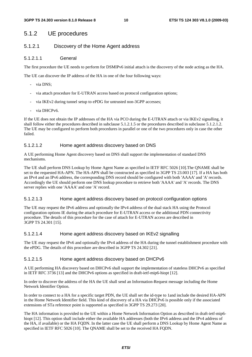### 5.1.2 UE procedures

#### 5.1.2.1 Discovery of the Home Agent address

#### 5.1.2.1.1 General

The first procedure the UE needs to perform for DSMIPv6 initial attach is the discovery of the node acting as the HA.

The UE can discover the IP address of the HA in one of the four following ways:

- via DNS;
- via attach procedure for E-UTRAN access based on protocol configuration options;
- via IKEv2 during tunnel setup to ePDG for untrusted non-3GPP accesses;
- via DHCPv6.

If the UE does not obtain the IP addresses of the HA via PCO during the E-UTRAN attach or via IKEv2 signalling, it shall follow either the procedures described in subclause 5.1.2.1.5 or the procedures described in subclause 5.1.2.1.2. The UE may be configured to perform both procedures in parallel or one of the two procedures only in case the other failed.

#### 5.1.2.1.2 Home agent address discovery based on DNS

A UE performing Home Agent discovery based on DNS shall support the implementation of standard DNS mechanisms.

The UE shall perform DNS Lookup by Home Agent Name as specified in IETF RFC 5026 [10].The QNAME shall be set to the requested HA-APN. The HA-APN shall be constructed as specified in 3GPP TS 23.003 [17]. If a HA has both an IPv4 and an IPv6 address, the corresponding DNS record should be configured with both 'AAAA' and 'A' records. Accordingly the UE should perform one DNS lookup procedure to retrieve both 'AAAA' and 'A' records. The DNS server replies with one 'AAAA' and one 'A' record.

#### 5.1.2.1.3 Home agent address discovery based on protocol configuration options

The UE may request the IPv6 address and optionally the IPv4 address of the dual stack HA using the Protocol configuration options IE during the attach procedure for E-UTRAN access or the additional PDN connectivity procedure. The details of this procedure for the case of attach for E-UTRAN access are described in 3GPP TS 24.301 [15].

#### 5.1.2.1.4 Home agent address discovery based on IKEv2 signalling

The UE may request the IPv6 and optionally the IPv4 address of the HA during the tunnel establishment procedure with the ePDG. The details of this procedure are described in 3GPP TS 24.302 [21].

#### 5.1.2.1.5 Home agent address discovery based on DHCPv6

A UE performing HA discovery based on DHCPv6 shall support the implementation of stateless DHCPv6 as specified in IETF RFC 3736 [13] and the DHCPv6 options as specified in draft-ietf-mip6-hiopt [12].

In order to discover the address of the HA the UE shall send an Information-Request message including the Home Network Identifier Option.

In order to connect to a HA for a specific target PDN, the UE shall set the id-type to 1and include the desired HA-APN in the Home Network Identifier field. This kind of discovery of a HA via DHCPv6 is possible only if the associated extensions of STa reference point is supported as specified in 3GPP TS 29.273 [20].

The HA information is provided to the UE within a Home Network Information Option as described in draft-ietf-mip6 hiopt [12]. This option shall include either the available HA addresses (both the IPv6 address and the IPv4 address of the HA, if available) or the HA FQDN. In the latter case the UE shall perform a DNS Lookup by Home Agent Name as specified in IETF RFC 5026 [10]. The QNAME shall be set to the received HA FQDN.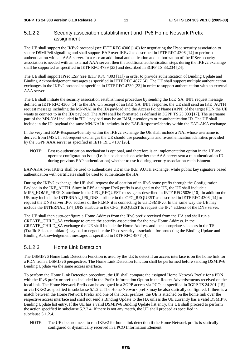### 5.1.2.2 Security association establishment and IPv6 Home Network Prefix assignment

The UE shall support the IKEv2 protocol (see IETF RFC 4306 [14]) for negotiating the IPsec security association to secure DSMIPv6 signalling and shall support EAP over IKEv2 as described in IETF RFC 4306 [14] to perform authentication with an AAA server. In a case an additional authentication and authorization of the IPSec security association is needed with an external AAA server, then the additional authentication steps during the IKEv2 exchange shall be supported as specified in IETF RFC 4739 [23] and described in 3GPP TS 33.234 [24].

The UE shall support IPsec ESP (see IETF RFC 4303 [11]) in order to provide authentication of Binding Update and Binding Acknowledgement messages as specified in IETF RFC 4877 [4]. The UE shall support multiple authentication exchanges in the IKEv2 protocol as specified in IETF RFC 4739 [23] in order to support authentication with an external AAA server.

The UE shall initiate the security association establishment procedure by sending the IKE\_SA\_INIT request message defined in IETF RFC 4306 [14] to the HA. On receipt of an IKE\_SA\_INIT response, the UE shall send an IKE\_AUTH request message including the MN-NAI in the IDi payload and the Access Point Name (APN) of the target PDN the UE wants to connect to in the IDr payload. The APN shall be formatted as defined in 3GPP TS 23.003 [17]. The username part of the MN-NAI included in "IDi" payload may be an IMSI, pseudonym or re-authentication ID. The UE shall include in the IDi payload the same MN-NAI it includes in the EAP-Response/Identity within the EAP-AKA exchange.

In the very first EAP-Response/Identity within the IKEv2 exchange the UE shall include a NAI whose username is derived from IMSI. In subsequent exchanges the UE should use pseudonyms and re-authentication identities provided by the 3GPP AAA server as specified in IETF RFC 4187 [26].

NOTE: Fast re-authentication mechanism is optional, and therefore is an implementation option in the UE and operator configuration issue (i.e. it also depends on whether the AAA server sent a re-authentication ID during previous EAP authentication) whether to use it during security association establishment.

EAP-AKA over IKEv2 shall be used to authenticate UE in the IKE\_AUTH exchange, while public key signature based authentication with certificates shall be used to authenticate the HA.

During the IKEv2 exchange, the UE shall request the allocation of an IPv6 home prefix through the Configuration Payload in the IKE\_AUTH. Since in EPS a unique IPv6 prefix is assigned to the UE, the UE shall include a MIP6\_HOME\_PREFIX attribute in the CFG\_REQUEST message as described in IETF RFC 5026 [10]. In addition the UE may include the INTERNAL\_IP6\_DNS attribute in the CFG\_REQUEST as described in IETF RFC 4306 [14] to request the DNS server IPv6 address of the PLMN it is connecting to via DSMIPv6. In the same way the UE may include the INTERNAL\_IP4\_DNS attribute in the CFG\_REQUEST to request the IPv4 address of the DNS server.

The UE shall then auto-configure a Home Address from the IPv6 prefix received from the HA and shall run a CREATE\_CHILD\_SA exchange to create the security association for the new Home Address. In the CREATE\_CHILD\_SA exchange the UE shall include the Home Address and the appropriate selectors in the TSi (Traffic Selector-initiator) payload to negotiate the IPsec security association for protecting the Binding Update and Binding Acknowledgement messages as specified in IETF RFC 4877 [4].

### 5.1.2.3 Home Link Detection

The DSMIPv6 Home Link Detection Function is used by the UE to detect if an access interface is on the home link for a PDN from a DSMIPv6 perspective. The Home Link Detection function shall be performed before sending DSMIPv6 Binding Update via the same access interface.

To perform the Home Link Detection procedure, the UE shall compare the assigned Home Network Prefix for a PDN with the IPv6 prefix or prefixes included in the Prefix Information Option in the Router Advertisements received on the local link. The Home Network Prefix can be assigned in a 3GPP access via PCO, as specified in 3GPP TS 24.301 [15], or via IKEv2 as specified in subclause 5.1.2.2. The Home Network prefix may be also statically configured. If there is a match between the Home Network Prefix and one of the local prefixes, the UE is attached on the home link over the respective access interface and shall not send a Binding Update to the HA unless the UE currently has a valid DSMIPv6 Binding Update list entry. If the UE has a valid DSMIPv6 Binding Update list entry, the UE shall proceed to perform the action specified in subclause 5.2.2.4. If there is not any match, the UE shall proceed as specified in subclause 5.1.2.4.

NOTE: The UE does not need to run IKEv2 for home link detection if the Home Network prefix is statically configured or dynamically received in a PCO Information Element.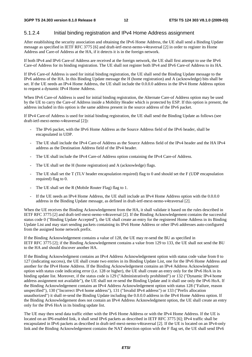### 5.1.2.4 Initial binding registration and IPv4 Home Address assignment

After establishing the security association and obtaining the IPv6 Home Address, the UE shall send a Binding Update message as specified in IETF RFC 3775 [6] and draft-ietf-mext-nemo-v4traversal [2] in order to register its Home Address and Care-of Address at the HA, if it detects it is in the foreign network.

If both IPv4 and IPv6 Care-of Address are received at the foreign network, the UE shall first attempt to use the IPv6 Care-of Address for its binding registration. The UE shall not register both IPv4 and IPv6 Care-of Address to its HA.

If IPv6 Care-of Address is used for initial binding registration, the UE shall send the Binding Update message to the IPv6 address of the HA. In this Binding Update message the H (home registration) and A (acknowledge) bits shall be set. If the UE needs an IPv4 Home Address, the UE shall include the 0.0.0.0 address in the IPv4 Home Address option to request a dynamic IPv4 Home Address.

When IPv6 Care-of Address is used for initial binding registration, the Alternate Care-of Address option may be used by the UE to carry the Care-of Address inside a Mobility Header which is protected by ESP. If this option is present, the address included in this option is the same address present in the source address of the IPv6 packet.

If IPv4 Care-of Address is used for initial binding registration, the UE shall send the Binding Update as follows (see draft-ietf-mext-nemo-v4traversal [2]):

- The IPv6 packet, with the IPv6 Home Address as the Source Address field of the IPv6 header, shall be encapsulated in UDP.
- The UE shall include the IPv4 Care-of Address as the Source Address field of the IPv4 header and the HA IPv4 address as the Destination Address field of the IPv4 header.
- The UE shall include the IPv4 Care-of Address option containing the IPv4 Care-of Address.
- The UE shall set the H (home registration) and A (acknowledge) flags.
- The UE shall set the T (TLV header encapsulation required) flag to 0 and should set the F (UDP encapsulation required) flag to 0.
- The UE shall set the R (Mobile Router Flag) flag to 1.
- If the UE needs an IPv4 Home Address, the UE shall include an IPv4 Home Address option with the 0.0.0.0 address in the Binding Update message, as defined in draft-ietf-mext-nemo-v4traversal [2].

When the UE receives the Binding Acknowledgement from the HA, it shall validate it based on the rules described in IETF RFC 3775 [2] and draft-ietf-mext-nemo-v4traversal [2]. If the Binding Acknowledgement contains the successful status code 0 ("Binding Update Accepted"), the UE shall create an entry for the registered Home Address in its Binding Update List and may start sending packets containing its IPv6 Home Address or other IPv6 addresses auto-configured from the assigned home network prefix.

If the Binding Acknowledgement contains a value of 128, the UE may re-send the BU as specified in IETF RFC 3775 [2]; if the Binding Acknowledgement contains a value from 129 to 133, the UE shall not send the BU to the HA and should discover another HA.

If the Binding Acknowledgment contains an IPv4 Address Acknowledgement option with status code value from 0 to 127 (indicating success), the UE shall create two entries in its Binding Update List, one for the IPv6 Home Address and another for the IPv4 Home Address. If the Binding Acknowledgement contains an IPv4 Address Acknowledgment option with status code indicating error (i.e. 128 or higher), the UE shall create an entry only for the IPv6 HoA in its binding update list. Moreover, if the status code is 129 ("Administratively prohibited") or 132 ("Dynamic IPv4 home address assignment not available"), the UE shall not re-send the Binding Update and it shall use only the IPv6 HoA. If the Binding Acknowledgement contains an IPv4 Address Acknowledgement option with status 128 ("Failure, reason unspecified"), 130 ("Incorrect IPv4 home address"), 131 ("Invalid IPv4 address") or 133 ("Prefix allocation unauthorized") it shall re-send the Binding Update including the 0.0.0.0 address in the IPv4 Home Address option. If the Binding Acknowledgement does not contain an IPv4 Address Acknowledgment option, the UE shall create an entry only for the IPv6 HoA in its binding update list.

The UE may then send data traffic either with the IPv6 Home Address or with the IPv4 Home Address. If the UE is located on an IP6-enabled link, it shall send IPv6 packets as described in IETF RFC 3775 [6]; IPv4 traffic shall be encapsulated in IPv6 packets as described in draft-ietf-mext-nemo-v4traversal [2]. If the UE is located on an IPv4-only link and the Binding Acknowledgement contains the NAT detection option with the F flag set, the UE shall send IPv6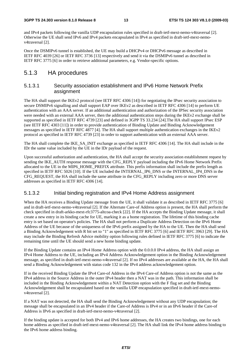and IPv4 packets following the vanilla UDP encapsulation rules specified in draft-ietf-mext-nemo-v4traversal [2]. Otherwise the UE shall send IPv6 and IPv4 packets encapsulated in IPv4 as specified in draft-ietf-mext-nemov4traversal [2].

Once the DSMIPv6 tunnel is established, the UE may build a DHCPv4 or DHCPv6 message as described in IETF RFC 4039 [26] or IETF RFC 3736 [13] respectively and send it via the DSMIPv6 tunnel as described in IETF RFC 3775 [6] in order to retrieve additional parameters, e.g. Vendor-specific options.

### 5.1.3 HA procedures

### 5.1.3.1 Security association establishment and IPv6 Home Network Prefix assignment

The HA shall support the IKEv2 protocol (see IETF RFC 4306 [14]) for negotiating the IPsec security association to secure DSMIPv6 signalling and shall support EAP over IKEv2 as described in IETF RFC 4306 [14] to perform UE authentication with an AAA server. If an additional authentication and authorization of the IPSec security association were needed with an external AAA server, then the additional authentication steps during the IKEv2 exchange shall be supported as specified in IETF RFC 4739 [23] and defined in 3GPP TS 33.234 [24].The HA shall support IPsec ESP (see IETF RFC 4303 [11]) in order to provide authentication of Binding Update and Binding Acknowledgement messages as specified in IETF RFC 4877 [4]. The HA shall support multiple authentication exchanges in the IKEv2 protocol as specified in IETF RFC 4739 [23] in order to support authentication with an external AAA server.

The HA shall complete the IKE\_SA\_INIT exchange as specified in IETF RFC 4306 [14]. The HA shall include in the IDr the same value included by the UE in the IDr payload of the request.

Upon successful authorization and authentication, the HA shall accept the security association establishment request by sending the IKE\_AUTH response message with the CFG\_REPLY payload including the IPv6 Home Network Prefix allocated to the UE in the MIP6\_HOME\_PREFIX attribute. This prefix information shall include the prefix length as specified in IETF RFC 5026 [10]. If the UE included the INTERNAL\_IP6\_DNS or the INTERNAL\_IP4\_DNS in the CFG\_REQUEST, the HA shall include the same attribute in the CFG\_REPLY including zero or more DNS server addresses as specified in IETF RFC 4306 [14].

### 5.1.3.2 Initial binding registration and IPv4 Home Address assignment

When the HA receives a Binding Update message from the UE, it shall validate it as described in IETF RFC 3775 [6] and in draft-ietf-mext-nemo-v4traversal [2]. If the Alternate Care-of Address option is present, the HA shall perform the check specified in draft-arkko-mext-rfc3775-altcoa-check [22]. If the HA accepts the Binding Update message, it shall create a new entry in its binding cache for UE, marking it as a home registration. The lifetime of this binding cache entry is set based on operator's policies. The HA shall not perform a Duplicate Address Detection on the IPv6 Home Address of the UE because of the uniqueness of the IPv6 prefix assigned by the HA to the UE. Then the HA shall send a Binding Acknowledgement with R bit set to "1" as specified in IETF RFC 3775 [6] and IETF RFC 3963 [29]. The HA may include the Binding Refresh Advice mobility option following rules defined in IETF RFC 3775 [6] to indicate the remaining time until the UE should send a new home binding update.

If the Binding Update contains an IPv4 Home Address option with the 0.0.0.0 IPv4 address, the HA shall assign an IPv4 Home Address to the UE, including an IPv4 Address Acknowledgement option in the Binding Acknowledgement message, as specified in draft-ietf-mext-nemo-v4traversal [2]. If no IPv4 addresses are available at the HA, the HA shall send a Binding Acknowledgement with status code 132 in the IPv4 address acknowledgement option.

If in the received Binding Update the IPv4 Care-of Address in the IPv4 Care-of Address option is not the same as the IPv4 address in the Source Address in the outer IPv4 header then a NAT was in the path. This information shall be included in the Binding Acknowledgement within a NAT Detection option with the F flag set and the Binding Acknowledgement shall be encapsulated based on the vanilla UDP encapsulation specified in draft-ietf-mext-nemov4traversal [2].

If a NAT was not detected, the HA shall send the Binding Acknowledgement without any UDP encapsulation; the message shall be encapsulated in an IPv4 header if the Care-of Address is IPv4 or in an IPv6 header if the Care-of Address is IPv6 as specified in draft-ietf-mext-nemo-v4traversal [2].

If the binding update is accepted for both IPv4 and IPv6 home addresses, the HA creates two bindings, one for each home address as specified in draft-ietf-mext-nemo-v4traversal [2]. The HA shall link the IPv4 home address binding to the IPv6 home address binding.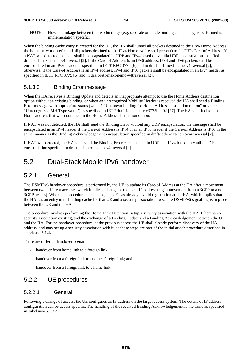NOTE: How the linkage between the two bindings (e.g. separate or single binding cache entry) is performed is implementation specific.

When the binding cache entry is created for the UE, the HA shall tunnel all packets destined to the IPv6 Home Address, the home network prefix and all packets destined to the IPv4 Home Address (if present) to the UE's Care-of Address. If a NAT was detected, packets shall be encapsulated in UDP and IPv4 based on vanilla UDP encapsulation specified in draft-ietf-mext-nemo-v4traversal [2]. If the Care-of Address is an IPv6 address, IPv4 and IPv6 packets shall be encapsulated in an IPv6 header as specified in IETF RFC 3775 [6] and in draft-ietf-mext-nemo-v4traversal [2]; otherwise, if the Care-of Address is an IPv4 address, IPv4 and IPv6 packets shall be encapsulated in an IPv4 header as specified in IETF RFC 3775 [6] and in draft-ietf-mext-nemo-v4traversal [2].

### 5.1.3.3 Binding Error message

When the HA receives a Binding Update and detects an inappropriate attempt to use the Home Address destination option without an existing binding, or when an unrecognized Mobility Header is received the HA shall send a Binding Error message with appropriate status (value 1 "Unknown binding for Home Address destination option" or value 2 "Unrecognized MH Type value") as specified in IETF draft-ietf-mext-rfc3775bis-02 [27]. The HA shall include the Home address that was contained in the Home Address destination option.

If NAT was not detected, the HA shall send the Binding Error without any UDP encapsulation; the message shall be encapsulated in an IPv4 header if the Care-of Address is IPv4 or in an IPv6 header if the Care-of Address is IPv6 in the same manner as the Binding Acknowledgement encapsulation specified in draft-ietf-mext-nemo-v4traversal [2].

If NAT was detected, the HA shall send the Binding Error encapsulated in UDP and IPv4 based on vanilla UDP encapsulation specified in draft-ietf-mext-nemo-v4traversal [2].

### 5.2 Dual-Stack Mobile IPv6 handover

### 5.2.1 General

The DSMIPv6 handover procedure is performed by the UE to update its Care-of Address at the HA after a movement between two different accesses which implies a change of the local IP address (e.g. a movement from a 3GPP to a non-3GPP access). When this procedure takes place, the UE has already a valid registration at the HA, which implies that the HA has an entry in its binding cache for that UE and a security association to secure DSMIPv6 signalling is in place between the UE and the HA.

The procedure involves performing the Home Link Detection, setup a security association with the HA if there is no security association existing, and the exchange of a Binding Update and a Binding Acknowledgement between the UE and the HA. For the handover procedure, at the previous access the UE shall already perform discovery of the HA address, and may set up a security association with it, as these steps are part of the initial attach procedure described in subclause 5.1.2.

There are different handover scenarios:

- handover from home link to a foreign link;
- handover from a foreign link to another foreign link; and
- handover from a foreign link to a home link.

### 5.2.2 UE procedures

### 5.2.2.1 General

Following a change of access, the UE configures an IP address on the target access system. The details of IP address configuration can be access specific. The handling of the received Binding Acknowledgement is the same as specified in subclause 5.1.2.4.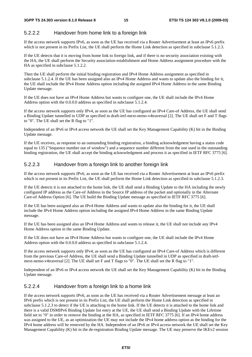### 5.2.2.2 Handover from home link to a foreign link

If the access network supports IPv6, as soon as the UE has received via a Router Advertisement at least an IPv6 prefix which is not present in its Prefix List, the UE shall perform the Home Link detection as specified in subclause 5.1.2.3.

If the UE detects that it is moving from home link to foreign link, and if there is no security association existing with the HA, the UE shall perform the Security association establishment and Home Address assignment procedure with the HA as specified in subclause 5.1.2.2.

Then the UE shall perform the initial binding registration and IPv4 Home Address assignment as specified in subclause 5.1.2.4. If the UE has been assigned also an IPv4 Home Address and wants to update also the binding for it, the UE shall include the IPv4 Home Address option including the assigned IPv4 Home Address in the same Binding Update message.

If the UE does not have an IPv4 Home Address but wants to configure one, the UE shall include the IPv4 Home Address option with the 0.0.0.0 address as specified in subclause 5.1.2.4.

If the access network supports only IPv4, as soon as the UE has configured an IPv4 Care-of Address, the UE shall send a Binding Update tunnelled in UDP as specified in draft-ietf-mext-nemo-v4traversal [2]. The UE shall set F and T flags to "0". The UE shall set the R flag to "1".

Independent of an IPv6 or IPv4 access network the UE shall set the Key Management Capability (K) bit in the Binding Update message.

If the UE receives, as response to an outstanding binding registration, a binding acknowledgment having a status code equal to 135 ("Sequence number out of window") and a sequence number different from the one used in the outstanding binding registration, the UE shall accept the binding acknowledgment and process it as specified in IETF RFC 3775 [6].

### 5.2.2.3 Handover from a foreign link to another foreign link

If the access network supports IPv6, as soon as the UE has received via a Router Advertisement at least an IPv6 prefix which is not present in its Prefix List, the UE shall perform the Home Link detection as specified in subclause 5.1.2.3.

If the UE detects it is not attached to the home link, the UE shall send a Binding Update to the HA including the newly configured IP address as the Care-of Address in the Source IP address of the packet and optionally in the Alternate Care-of Address Option [6]. The UE build the Binding Update message as specified in IETF RFC 3775 [6].

If the UE has been assigned also an IPv4 Home Address and wants to update also the binding for it, the UE shall include the IPv4 Home Address option including the assigned IPv4 Home Address in the same Binding Update message.

If the UE has been assigned also an IPv4 Home Address and wants to release it, the UE shall not include any IPv4 Home Address option in the same Binding Update.

If the UE does not have an IPv4 Home Address but wants to configure one, the UE shall include the IPv4 Home Address option with the 0.0.0.0 address as specified in subclause 5.1.2.4.

If the access network supports only IPv4, as soon as the UE has configured an IPv4 Care-of Address which is different from the previous Care-of Address, the UE shall send a Binding Update tunnelled in UDP as specified in draft-ietfmext-nemo-v4traversal [2]. The UE shall set F and T flags to "0". The UE shall set the R flag to "1".

Independent of an IPv6 or IPv4 access network the UE shall set the Key Management Capability (K) bit in the Binding Update message.

### 5.2.2.4 Handover from a foreign link to a home link

If the access network supports IPv6, as soon as the UE has received via a Router Advertisement message at least an IPv6 prefix which is not present in its Prefix List, the UE shall perform the Home Link detection as specified in subclause 5.1.2.3 to detect if the UE is attaching to the home link. If the UE detects it is attached to the home link and there is a valid DSMIPv6 Binding Update list entry at the UE, the UE shall send a Binding Update with the Lifetime field set to "0" in order to remove the binding at the HA, as specified in IETF RFC 3775 [6]. If an IPv4 home address was assigned to the UE, as an optimization the UE may not include the IPv4 home address option as the binding for the IPv4 home address will be removed by the HA. Independent of an IPv6 or IPv4 access network the UE shall set the Key Management Capability (K) bit in the de-registration Binding Update message. The UE may preserve the IKEv2 session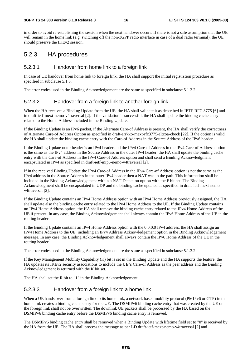#### **3GPP TS 24.303 version 8.1.0 Release 8 16 ETSI TS 124 303 V8.1.0 (2009-03)**

in order to avoid re-establishing the session when the next handover occurs. If there is not a safe assumption that the UE will remain in the home link (e.g. switching off the non-3GPP radio interface in case of a dual radio terminal), the UE should preserve the IKEv2 session.

### 5.2.3 HA procedures

### 5.2.3.1 Handover from home link to a foreign link

In case of UE handover from home link to foreign link, the HA shall support the initial registrstion procedure as specified in subclause 5.1.3.

The error codes used in the Binding Acknowledgement are the same as specified in subclause 5.1.3.2.

#### 5.2.3.2 Handover from a foreign link to another foreign link

When the HA receives a Binding Update from the UE, the HA shall validate it as described in IETF RFC 3775 [6] and in draft-ietf-mext-nemo-v4traversal [2]. If the validation is successful, the HA shall update the binding cache entry related to the Home Address included in the Binding Update.

If the Binding Update is an IPv6 packet, if the Alternate Care-of Address is present, the HA shall verify the correctness of Alternate Care-of Address Option as specified in draft-arrkko-mext-rfc3775-altcoa-check [22]. If the option is valid, the HA shall update the binding cache entry with the Care-of Address in the Source Address of the IPv6 header.

If the Binding Update outer header is an IPv4 header and the IPv4 Care-of Address in the IPv4 Care-of Address option is the same as the IPv4 address in the Source Address in the outer IPv4 header, the HA shall update the binding cache entry with the Care-of Address in the IPv4 Care-of Address option and shall send a Binding Acknowledgment encapsulated in IPv4 as specified in draft-ietf-mip6-nemo-v4traversal [2].

If in the received Binding Update the IPv4 Care-of Address in the IPv4 Care-of Address option is not the same as the IPv4 address in the Source Address in the outer IPv4 header then a NAT was in the path. This information shall be included in the Binding Acknowledgement within a NAT Detection option with the F bit set. The Binding Acknowledgment shall be encapsulated in UDP and the binding cache updated as specified in draft-ietf-mext-nemov4traversal [2].

If the Binding Update contains an IPv4 Home Address option with an IPv4 Home Address previously assigned, the HA shall update also the binding cache entry related to the IPv4 Home Address to the UE. If the Binding Update contains no IPv4 Home Address option, the HA shall remove the binding cache entry related to the IPv4 Home Address of the UE if present. In any case, the Binding Acknowledgement shall always contain the IPv6 Home Address of the UE in the routing header.

If the Binding Update contains an IPv4 Home Address option with the 0.0.0.0 IPv4 address, the HA shall assign an IPv4 Home Address to the UE, including an IPv4 Address Acknowledgement option in the Binding Acknowledgement message. In any case, the Binding Acknowledgement shall always contain the IPv6 Home Address of the UE in the routing header.

The error codes used in the Binding Acknowledgement are the same as specified in subclause 5.1.3.2.

If the Key Management Mobility Capability (K) bit is set in the Binding Update and the HA supports the feature, the HA updates its IKEv2 security associations to include the UE"s Care-of Address as the peer address and the Binding Acknowledgement is returned with the K bit set.

The HA shall set the R bit to "1" in the Binding Acknowledgement.

### 5.2.3.3 Handover from a foreign link to a home link

When a UE hands over from a foreign link to its home link, a network based mobility protocol (PMIPv6 or GTP) in the home link creates a binding cache entry for the UE. The DSMIPv6 binding cache entry that was created by the UE on the foreign link shall not be overwritten. The downlink UE packets shall be processed by the HA based on the DSMIPv6 binding cache entry before the DSMIPv6 binding cache entry is removed.

The DSMIPv6 binding cache entry shall be removed when a Binding Update with lifetime field set to "0" is received by the HA from the UE. The HA shall process the message as per I-D draft-ietf-mext-nemo-v4traversal [2] and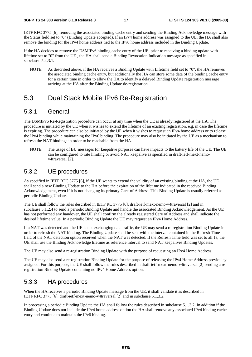IETF RFC 3775 [6], removing the associated binding cache entry and sending the Binding Acknowledge message with the Status field set to "0" (Binding Update accepted). If an IPv4 home address was assigned to the UE, the HA shall also remove the binding for the IPv4 home address tied to the IPv6 home address included in the Binding Update.

If the HA decides to remove the DSMIPv6 binding cache entry of the UE, prior to receiving a binding update with lifetime set to "0" from the UE , the HA shall send a Binding Revocation Indication message as specified in subclause 5.4.3.1.

NOTE: As described above, if the HA receives a Binding Update with Lifetime field set to "0", the HA removes the associated binding cache entry, but additionally the HA can store some data of the binding cache entry for a certain time in order to allow the HA to identify a delayed Binding Update registration message arriving at the HA after the Binding Update de-registration.

### 5.3 Dual Stack Mobile IPv6 Re-Registration

### 5.3.1 General

The DSMIPv6 Re-Registration procedure can occur at any time when the UE is already registered at the HA. The procedure is initiated by the UE when it wishes to extend the lifetime of an existing registration, e.g. in case the lifetime is expiring. The procedure can also be initiated by the UE when it wishes to request an IPv4 home address or to release the IPv4 binding while maintaining the IPv6 binding. The procedure may also be initiated by the UE as a mechanism to refresh the NAT bindings in order to be reachable from the HA.

NOTE: The usage of BU messages for keepalive purposes can have impacts to the battery life of the UE. The UE can be configured to rate limiting or avoid NAT keepalive as specified in draft-ietf-mext-nemov4traversal [2].

### 5.3.2 UE procedures

As specified in IETF RFC 3775 [6], if the UE wants to extend the validity of an existing binding at the HA, the UE shall send a new Binding Update to the HA before the expiration of the lifetime indicated in the received Binding Acknowledgement, even if it is not changing its primary Care-of Address. This Binding Update is usually referred as periodic Binding Update.

The UE shall follow the rules described in IETF RC 3775 [6], draft-ietf-mext-nemo-v4traversal [2] and in subclause 5.1.2.4 to send a periodic Binding Update and handle the associated Binding Acknowledgement. As the UE has not performed any handover, the UE shall confirm the already registered Care of Address and shall indicate the desired lifetime value. In a periodic Binding Update the UE may request an IPv4 Home Address.

If a NAT was detected and the UE is not exchanging data traffic, the UE may send a re-registration Binding Update in order to refresh the NAT binding. The Binding Update shall be sent with the interval contained in the Refresh Time field of the NAT detection option received when the NAT was detected. If the Refresh Time field was set to all 1s, the UE shall use the Binding Acknowledge lifetime as reference interval to send NAT keepalives Binding Updates.

The UE may also send a re-registration Binding Update with the purpose of requesting an IPv4 Home Address.

The UE may also send a re-registration Binding Update for the purpose of releasing the IPv4 Home Address previoulsy assigned. For this purpose, the UE shall follow the rules described in draft-ietf-mext-nemo-v4traversal [2] sending a reregistration Binding Update containing no IPv4 Home Address option.

### 5.3.3 HA procedures

When the HA receives a periodic Binding Update message from the UE, it shall validate it as described in IETF RFC 3775 [6], draft-ietf-mext-nemo-v4traversal [2] and in subclause 5.1.3.2.

In processing a periodic Binding Update the HA shall follow the rules described in subclause 5.1.3.2. In addition if the Binding Update does not include the IPv4 home address option the HA shall remove any associated IPv4 binding cache entry and continue to maintain the IPv6 binding.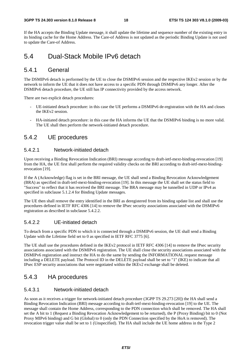#### **3GPP TS 24.303 version 8.1.0 Release 8 18 ETSI TS 124 303 V8.1.0 (2009-03)**

If the HA accepts the Binding Update message, it shall update the lifetime and sequence number of the existing entry in its binding cache for the Home Address. The Care-of Address is not updated as the periodic Binding Update is not used to update the Care-of Address.

### 5.4 Dual-Stack Mobile IPv6 detach

### 5.4.1 General

The DSMIPv6 detach is performed by the UE to close the DSMIPv6 session and the respective IKEv2 session or by the network to inform the UE that it does not have access to a specific PDN through DSMIPv6 any longer. After the DSMIPv6 detach procedure, the UE still has IP connectivity provided by the access network.

There are two explicit detach procedures:

- UE-initiated detach procedure: in this case the UE performs a DSMIPv6 de-registration with the HA and closes the IKEv2 session.
- HA-initiated detach procedure: in this case the HA informs the UE that the DSMIPv6 binding is no more valid. The UE shall then perform the network-initiated detach procedure.

### 5.4.2 UE procedures

### 5.4.2.1 Network-initiated detach

Upon receiving a Binding Revocation Indication (BRI) message according to draft-ietf-mext-binding-revocation [19] from the HA, the UE first shall perform the required validity checks on the BRI according to draft-ietf-mext-bindingrevocation [19].

If the A (Acknowledge) flag is set in the BRI message, the UE shall send a Binding Revocation Acknowledgement (BRA) as specified in draft-ietf-mext-binding-revocation [19]. In this message the UE shall set the status field to "Success" to reflect that it has received the BRI message. The BRA message may be tunnelled in UDP or IPv4 as specified in subclause 5.1.2.4 for Binding Update messages.

The UE then shall remove the entry identified in the BRI as deregistered from its binding update list and shall use the procedures defined in IETF RFC 4306 [14] to remove the IPsec security associations associated with the DSMIPv6 registration as described in subclause 5.4.2.2.

### 5.4.2.2 UE-initiated detach

To detach from a specific PDN to which it is connected through a DSMIPv6 session, the UE shall send a Binding Update with the Lifetime field set to 0 as specified in IETF RFC 3775 [6].

The UE shall use the procedures defined in the IKEv2 protocol in IETF RFC 4306 [14] to remove the IPsec security associations associated with the DSMIPv6 registration. The UE shall close the security associations associated with the DSMIPv6 registration and instruct the HA to do the same by sending the INFORMATIONAL request message including a DELETE payload. The Protocol ID in the DELETE payload shall be set to "1" (IKE) to indicate that all IPsec ESP security associations that were negotiated within the IKEv2 exchange shall be deleted.

### 5.4.3 HA procedures

### 5.4.3.1 Network-initiated detach

As soon as it receives a trigger for network-initiated detach procedure (3GPP TS 29.273 [20]) the HA shall send a Binding Revocation Indication (BRI) message according to draft-ietf-mext-binding-revocation [19] to the UE. The message shall contain the Home Address, corresponding to the PDN connection which shall be removed. The HA shall set the A bit to 1 (Request a Binding Revocation Acknowledgement to be returned), the P (Proxy Binding) bit to 0 (Not Proxy MIPv6 binding) and G bit (Global) to 0 (only the PDN Connection specified by the HoA is removed). The revocation trigger value shall be set to 1 (Unspecified). The HA shall include the UE home address in the Type 2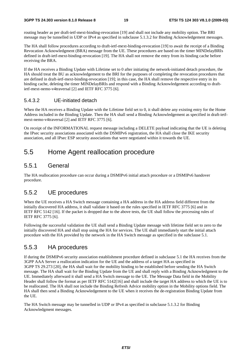#### **3GPP TS 24.303 version 8.1.0 Release 8 19 ETSI TS 124 303 V8.1.0 (2009-03)**

routing header as per draft-ietf-mext-binding-revocation [19] and shall not include any mobility option. The BRI message may be tunnelled in UDP or IPv4 as specified in subclause 5.1.3.2 for Binding Acknowledgement messages.

The HA shall follow procedures according to draft-ietf-mext-binding-revocation [19] to await the receipt of a Binding Revocation Acknowledgment (BRA) message from the UE. These procedures are based on the timer MINDelayBRIs defined in draft-ietf-mext-binding-revocation [19]. The HA shall not remove the entry from its binding cache before receiving the BRA.

If the HA receives a Binding Update with Lifetime set to 0 after initiating the network-initiated detach procedure, the HA should treat the BU as acknowledgement to the BRI for the purposes of completing the revocation procedures that are defined in draft-ietf-mext-binding-revocation [19]; in this case, the HA shall remove the respective entry in its binding cache, deleting the timer MINDelayBRIs and respond with a Binding Acknowledgement according to draftietf-mext-nemo-v4traversal [2] and IETF RFC 3775 [6].

### 5.4.3.2 UE-initiated detach

When the HA receives a Binding Update with the Lifetime field set to 0, it shall delete any existing entry for the Home Address included in the Binding Update. Then the HA shall send a Binding Acknowledgement as specified in draft-ietfmext-nemo-v4traversal [2] and IETF RFC 3775 [6].

On receipt of the INFORMATIONAL request message including a DELETE payload indicating that the UE is deleting the IPsec security associations associated with the DSMIPv6 registration, the HA shall close the IKE security association, and all IPsec ESP security associations that were negotiated within it towards the UE.

### 5.5 Home Agent reallocation procedure

### 5.5.1 General

The HA reallocation procedure can occur during a DSMIPv6 initial attach procedure or a DSMIPv6 handover procedure.

### 5.5.2 UE procedures

When the UE receives a HA Switch message containing a HA address in the HA address field different from the initially discovered HA address, it shall validate it based on the rules specified in IETF RFC 3775 [6] and in IETF RFC 5142 [16]. If the packet is dropped due to the above tests, the UE shall follow the processing rules of IETF RFC 3775 [6].

Following the successful validation the UE shall send a Binding Update message with lifetime field set to zero to the initially discovered HA and shall stop using the HA for services. The UE shall immediately start the initial attach procedure with the HA provided by the network in the HA Switch message as specified in the subclause 5.1.

### 5.5.3 HA procedures

If during the DSMIPv6 security association establishment procedure defined in subclause 5.1 the HA receives from the 3GPP AAA Server a reallocation indication for the UE and the address of a target HA as specified in 3GPP TS 29.273 [20], the HA shall wait for the mobility binding to be established before sending the HA Switch message. The HA shall wait for the Binding Update from the UE and shall reply with a Binding Acknowledgment to the UE. Immediately afterward it shall send a HA Switch message to the UE. The Message Data field in the Mobility Header shall follow the format as per IETF RFC 5142[16] and shall include the target HA address to which the UE is to be reallocated. The HA shall not include the Binding Refresh Advice mobility option in the Mobility options field. The HA shall then send a Binding Acknowledgement to the UE when it receives the de-registration Binding Update from the UE.

The HA Switch message may be tunnelled in UDP or IPv4 as specified in subclause 5.1.3.2 for Binding Acknowledgment messages.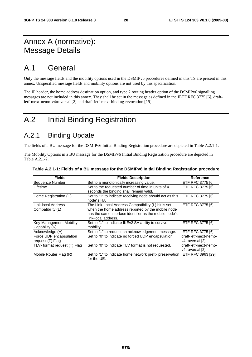## Annex A (normative): Message Details

## A.1 General

Only the message fields and the mobility options used in the DSMIPv6 procedures defined in this TS are present in this annex. Unspecified message fields and mobility options are not used by this specification.

The IP header, the home address destination option, and type 2 routing header option of the DSMIPv6 signalling messages are not included in this annex. They shall be set in the message as defined in the IETF RFC 3775 [6], draftietf-mext-nemo-v4traversal [2] and draft-ietf-mext-binding-revocation [19].

## A.2 Initial Binding Registration

## A.2.1 Binding Update

The fields of a BU message for the DSMIPv6 Initial Binding Registration procedure are depicted in Table A.2.1-1.

The Mobility Options in a BU message for the DSMIPv6 Initial Binding Registration procedure are depicted in Table A.2.1-2.

| <b>Fields</b>                | <b>Fields Description</b>                                | <b>Reference</b>          |
|------------------------------|----------------------------------------------------------|---------------------------|
| Sequence Number              | Set to a monotonically increasing value.                 | <b>IETF RFC 3775 [6]</b>  |
| <b>Lifetime</b>              | Set to the requested number of time in units of 4        | <b>IETF RFC 3775 [6]</b>  |
|                              | seconds the binding shall remain valid.                  |                           |
| Home Registration (H)        | Set to "1" to indicate receiving node should act as this | IETF RFC 3775 [6]         |
|                              | node"s HA                                                |                           |
| Link-local Address           | The Link-Local Address Compatibility (L) bit is set      | <b>IETF RFC 3775 [6]</b>  |
| Compatibility (L)            | when the home address reported by the mobile node        |                           |
|                              | has the same interface identifier as the mobile node's   |                           |
|                              | link-local address.                                      |                           |
| Key Management Mobility      | Set to "1" to indicate IKEv2 SA ability to survive       | <b>IETF RFC 3775 [6]</b>  |
| Capability (K)               | mobility                                                 |                           |
| Acknowledge (A)              | Set to "1" to request an acknowledgement message.        | <b>IETF RFC 3775 [6]</b>  |
| Force UDP encapsulation      | Set to "0" to indicate no forced UDP encapsulation       | draft-ietf-mext-nemo-     |
| request (F) Flag             |                                                          | v4traversal [2]           |
| TLV- format request (T) Flag | Set to "0" to indicate TLV format is not requested.      | draft-ietf-mext-nemo-     |
|                              |                                                          | v4traversal [2]           |
| Mobile Router Flag (R)       | Set to "1" to indicate home network prefix preservation  | <b>IETF RFC 3963 [29]</b> |
|                              | for the UE.                                              |                           |

#### **Table A.2.1-1: Fields of a BU message for the DSMIPv6 Initial Binding Registration procedure**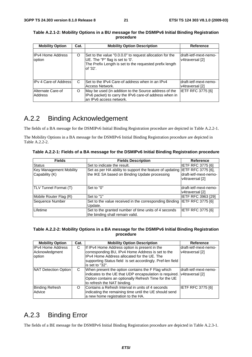| <b>Mobility Option</b>             | Cat. | <b>Mobility Option Description</b>                                                                                                                                  | <b>Reference</b>                           |
|------------------------------------|------|---------------------------------------------------------------------------------------------------------------------------------------------------------------------|--------------------------------------------|
|                                    |      |                                                                                                                                                                     |                                            |
| <b>IPv4 Home Address</b><br>option | O    | Set to the value "0.0.0.0" to request allocation for the<br>UE. The "P" flag is set to '0'.<br>The Prefix Length is set to the requested prefix length<br>lof '32'. | draft-ietf-mext-nemo-<br>v4traversal [2]   |
| <b>IPv 4 Care-of Address</b>       | C    | Set to the IPv4 Care-of address when in an IPv4<br>Access Network.                                                                                                  | ldraft-ietf-mext-nemo-<br>lv4traversal [2] |
| Alternate Care-of<br>Address       | O    | May be used (in addition to the Source address of the<br>IPv6 packet) to carry the IPv6 care-of address when in<br>lan IPv6 access network.                         | <b>IETF RFC 3775 [6]</b>                   |

**Table A.2.1-2: Mobility Options in a BU message for the DSMIPv6 Initial Binding Registration procedure** 

## A.2.2 Binding Acknowledgement

The fields of a BA message for the DSMIPv6 Initial Binding Registration procedure are depicted in Table A.2.2-1.

The Mobility Options in a BA message for the DSMIPv6 Initial Binding Registration procedure are depicted in Table A.2.2-2.

**Table A.2.2-1: Fields of a BA message for the DSMIPv6 Initial Binding Registration procedure** 

| <b>Fields</b>                             | <b>Fields Description</b>                                                                                                    | <b>Reference</b>                         |
|-------------------------------------------|------------------------------------------------------------------------------------------------------------------------------|------------------------------------------|
| <b>Status</b>                             | Set to indicate the result.                                                                                                  | <b>IETF RFC 3775 [6]</b>                 |
| Key Management Mobility<br>Capability (K) | Set as per HA ability to support the feature of updating IETF RFC 3775 [6],<br>the IKE SA based on Binding Update processing | draft-ietf-mext-nemo-<br>v4traversal [2] |
| TLV Tunnel Format (T)                     | Set to "0"                                                                                                                   | draft-ietf-mext-nemo-<br>v4traversal [2] |
| Mobile Router Flag (R)                    | Set to "1"                                                                                                                   | <b>IETF RFC 3963 [29]</b>                |
| Sequence Number                           | Set to the value received in the corresponding Binding<br>Update.                                                            | IETF RFC 3775 [6]                        |
| Lifetime                                  | Set to the granted number of time units of 4 seconds<br>the binding shall remain valid.                                      | IETF RFC 3775 [6]                        |

#### **Table A.2.2-2: Mobility Options in a BA message for the DSMIPv6 Initial Binding Registration procedure**

| <b>Mobility Option</b>                               | Cat. | <b>Mobility Option Description</b>                                                                                                                                                                                                  | Reference                                |
|------------------------------------------------------|------|-------------------------------------------------------------------------------------------------------------------------------------------------------------------------------------------------------------------------------------|------------------------------------------|
| <b>IPv4 Home Address</b><br>Acknowledgment<br>option | C    | If IPv4 Home Address option is present in the<br>corresponding BU, IPv4 Home Address is set to the<br>IPv4 Home Address allocated for the UE. The<br>supporting Status field is set accordingly. Pref-len field<br>lis set to "32". | draft-ietf-mext-nemo-<br>v4traversal [2] |
| NAT Detection Option                                 | C.   | When present the option contains the F Flag which<br>indicates to the UE that UDP encapsulation is required. v4traversal [2]<br>Option contains an optionally Refresh Time for the UE<br>to refresh the NAT binding.                | draft-ietf-mext-nemo-                    |
| <b>Binding Refresh</b><br>Advice                     | O    | Contains a Refresh Interval in units of 4 seconds<br>indicating the remaining time until the UE should send<br>a new home registration to the HA.                                                                                   | <b>IETF RFC 3775 [6]</b>                 |

## A.2.3 Binding Error

The fields of a BE message for the DSMIPv6 Initial Binding Registration procedure are depicted in Table A.2.3-1.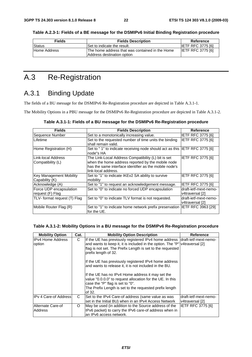**Table A.2.3-1: Fields of a BE message for the DSMIPv6 Initial Binding Registration procedure** 

| <b>Fields</b> | <b>Fields Description</b>                                                      | Reference                |
|---------------|--------------------------------------------------------------------------------|--------------------------|
| Status        | Set to indicate the result.                                                    | <b>IETF RFC 3775 [6]</b> |
| Home Address  | IThe home address that was contained in the Home<br>Address destination option | <b>IETF RFC 3775 [6]</b> |

## A.3 Re-Registration

## A.3.1 Binding Update

The fields of a BU message for the DSMIPv6 Re-Registration procedure are depicted in Table A.3.1-1.

The Mobility Options in a PBU message for the DSMIPv6 Re-Registration procedure are depicted in Table A.3.1-2.

| <b>Fields</b>                                     | <b>Fields Description</b>                                                                                                                                                                 | <b>Reference</b>                         |
|---------------------------------------------------|-------------------------------------------------------------------------------------------------------------------------------------------------------------------------------------------|------------------------------------------|
| Sequence Number                                   | Set to a monotonically increasing value.                                                                                                                                                  | <b>IETF RFC 3775 [6]</b>                 |
| Lifetime                                          | Set to the requested number of time units the binding<br>shall remain valid.                                                                                                              | <b>IETF RFC 3775 [6]</b>                 |
| Home Registration (H)                             | Set to "1" to indicate receiving node should act as this IETF RFC 3775 [6]<br>node"s HA                                                                                                   |                                          |
| Link-local Address<br>Compatibility (L)           | The Link-Local Address Compatibility (L) bit is set<br>when the home address reported by the mobile node<br>has the same interface identifier as the mobile node's<br>link-local address. | <b>IETF RFC 3775 [6]</b>                 |
| <b>Key Management Mobility</b><br> Capability (K) | Set to "1" to indicate IKEv2 SA ability to survive<br>mobility                                                                                                                            | <b>IETF RFC 3775 [6]</b>                 |
| Acknowledge (A)                                   | Set to "1" to request an acknowledgement message.                                                                                                                                         | <b>IETF RFC 3775 [6]</b>                 |
| Force UDP encapsulation<br>request (F) Flag       | Set to "0" to indicate no forced UDP encapsulation                                                                                                                                        | draft-ietf-mext-nemo-<br>v4traversal [2] |
| TLV- format request (T) Flag                      | Set to "0" to indicate TLV format is not requested.                                                                                                                                       | draft-ietf-mext-nemo-<br>v4traversal [2] |
| Mobile Router Flag (R)                            | Set to "1" to indicate home network prefix preservation<br>for the UE.                                                                                                                    | IETF RFC 3963 [29]                       |

#### **Table A.3.1-2: Mobility Options in a BU message for the DSMIPv6 Re-Registration procedure**

| <b>Mobility Option</b>              | Cat. | <b>Mobility Option Description</b>                                                                                                                                                                                         | <b>Reference</b>                         |
|-------------------------------------|------|----------------------------------------------------------------------------------------------------------------------------------------------------------------------------------------------------------------------------|------------------------------------------|
| <b>IPv4 Home Address</b><br>option  | C    | If the UE has previously registered IPv4 home address<br>and wants to keep it, it is included in the option. The "P" v4traversal [2]<br>flag is not set. The Prefix Length is set to the requested<br>prefix length of 32. | draft-ietf-mext-nemo-                    |
|                                     |      | If the UE has previously registered IPv4 home address<br>and wants to release it, it is not included in the BU.                                                                                                            |                                          |
|                                     |      | If the UE has no IPv4 Home address it may set the<br>value "0.0.0.0" to request allocation for the UE. In this<br>case the "P" flag is set to "0".<br>The Prefix Length is set to the requested prefix length<br>of 32.    |                                          |
| <b>IIPv 4 Care-of Address</b>       | C    | Set to the IPv4 Care-of address (same value as was<br>set in the Initial BU) when in an IPv4 Access Network                                                                                                                | draft-ietf-mext-nemo-<br>v4traversal [2] |
| Alternate Care-of<br><b>Address</b> | O    | May be used (in addition to the Source address of the<br>IPv6 packet) to carry the IPv6 care-of address when in<br>an IPv6 access network.                                                                                 | <b>IETF RFC 3775 [6]</b>                 |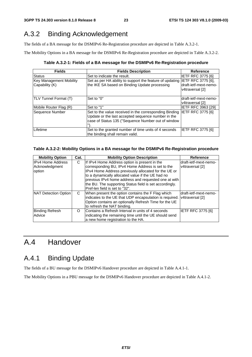## A.3.2 Binding Acknowledgement

The fields of a BA message for the DSMIPv6 Re-Registration procedure are depicted in Table A.3.2-1.

The Mobility Options in a BA message for the DSMIPv6 Re-Registration procedure are depicted in Table A.3.2-2.

**Table A.3.2-1: Fields of a BA message for the DSMIPv6 Re-Registration procedure** 

| <b>Fields</b>                                    | <b>Fields Description</b>                                                                                                                                          | Reference                                                      |
|--------------------------------------------------|--------------------------------------------------------------------------------------------------------------------------------------------------------------------|----------------------------------------------------------------|
| Status                                           | Set to indicate the result.                                                                                                                                        | <b>IETF RFC 3775 [6]</b>                                       |
| <b>Key Management Mobility</b><br>Capability (K) | Set as per HA ability to support the feature of updating<br>the IKE SA based on Binding Update processing                                                          | IETF RFC 3775 [6],<br>draft-ietf-mext-nemo-<br>v4traversal [2] |
| <b>TLV Tunnel Format (T)</b>                     | Set to "0"                                                                                                                                                         | draft-ietf-mext-nemo-<br>v4traversal [2]                       |
| Mobile Router Flag (R)                           | Set to "1"                                                                                                                                                         | <b>IETF RFC 3963 [29]</b>                                      |
| Sequence Number                                  | Set to the value received in the corresponding Binding<br>Update or the last accepted sequence number in the<br>case of Status 135 ("Sequence Number out of window | <b>IETF RFC 3775 [6]</b>                                       |
| Lifetime                                         | Set to the granted number of time units of 4 seconds<br>the binding shall remain valid.                                                                            | IETF RFC 3775 [6]                                              |

### **Table A.3.2-2: Mobility Options in a BA message for the DSMIPv6 Re-Registration procedure**

| <b>Mobility Option</b>   | Cat. | <b>Mobility Option Description</b>                      | Reference             |
|--------------------------|------|---------------------------------------------------------|-----------------------|
| <b>IPv4 Home Address</b> | С    | If IPv4 Home Address option is present in the           | draft-ietf-mext-nemo- |
| Acknowledgment           |      | corresponding BU, IPv4 Home Address is set to the       | v4traversal [2]       |
| option                   |      | IPv4 Home Address previously allocated for the UE or    |                       |
|                          |      | to a dynamically allocated value if the UE had no       |                       |
|                          |      | previous IPv4 home address and requested one at with    |                       |
|                          |      | the BU. The supporting Status field is set accordingly. |                       |
|                          |      | Pref-len field is set to "32".                          |                       |
| NAT Detection Option     | C    | When present the option contains the F Flag which       | draft-ietf-mext-nemo- |
|                          |      | indicates to the UE that UDP encapsulation is required. | v4traversal [2]       |
|                          |      | Option contains an optionally Refresh Time for the UE   |                       |
|                          |      | to refresh the NAT binding.                             |                       |
| <b>Binding Refresh</b>   | O    | Contains a Refresh Interval in units of 4 seconds       | IETF RFC 3775 [6]     |
| Advice                   |      | indicating the remaining time until the UE should send  |                       |
|                          |      | a new home registration to the HA.                      |                       |

## A.4 Handover

## A.4.1 Binding Update

The fields of a BU message for the DSMIPv6 Handover procedure are depicted in Table A.4.1-1.

The Mobility Options in a PBU message for the DSMIPv6 Handover procedure are depicted in Table A.4.1-2.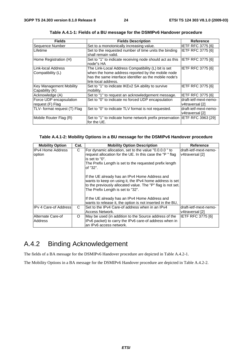| <b>Fields</b>                | <b>Fields Description</b>                                | Reference                 |
|------------------------------|----------------------------------------------------------|---------------------------|
| Sequence Number              | Set to a monotonically increasing value.                 | <b>IETF RFC 3775 [6]</b>  |
| Lifetime                     | Set to the requested number of time units the binding    | <b>IETF RFC 3775 [6]</b>  |
|                              | shall remain valid.                                      |                           |
| Home Registration (H)        | Set to "1" to indicate receiving node should act as this | <b>IETF RFC 3775 [6]</b>  |
|                              | node"s HA                                                |                           |
| Link-local Address           | The Link-Local Address Compatibility (L) bit is set      | <b>IETF RFC 3775 [6]</b>  |
| Compatibility (L)            | when the home address reported by the mobile node        |                           |
|                              | has the same interface identifier as the mobile node's   |                           |
|                              | link-local address.                                      |                           |
| Key Management Mobility      | Set to "1" to indicate IKEv2 SA ability to survive       | <b>IETF RFC 3775 [6]</b>  |
| Capability (K)               | mobility.                                                |                           |
| Acknowledge (A)              | Set to "1" to request an acknowledgement message.        | <b>IETF RFC 3775 [6]</b>  |
| Force UDP encapsulation      | Set to "0" to indicate no forced UDP encapsulation       | draft-ietf-mext-nemo-     |
| request (F) Flag             |                                                          | v4traversal [2]           |
| TLV- format request (T) Flag | Set to "0" to indicate TLV format is not requested.      | draft-ietf-mext-nemo-     |
|                              |                                                          | v4traversal [2]           |
| Mobile Router Flag (R)       | Set to "1" to indicate home network prefix preservation  | <b>IETF RFC 3963 [29]</b> |
|                              | for the UE.                                              |                           |

**Table A.4.1-1: Fields of a BU message for the DSMIPv6 Handover procedure** 

#### **Table A.4.1-2: Mobility Options in a BU message for the DSMIPv6 Handover procedure**

| <b>Mobility Option</b> | Cat. | <b>Mobility Option Description</b>                                                                                                                                                                            | <b>Reference</b>      |
|------------------------|------|---------------------------------------------------------------------------------------------------------------------------------------------------------------------------------------------------------------|-----------------------|
| IIPv4 Home Address     | C    | For dynamic allocation, set to the value "0.0.0.0" to                                                                                                                                                         | draft-ietf-mext-nemo- |
| option                 |      | request allocation for the UE. In this case the "P" flag<br>is set to "0".                                                                                                                                    | v4traversal [2]       |
|                        |      | The Prefix Length is set to the requested prefix length<br>of "32".                                                                                                                                           |                       |
|                        |      | If the UE already has an IPv4 Home Address and<br>wants to keep on using it, the IPv4 home address is set<br>to the previously allocated value. The "P" flag is not set.<br>The Prefix Length is set to "32". |                       |
|                        |      | If the UE already has an IPv4 Home Address and                                                                                                                                                                |                       |
|                        |      | wants to release it, the option is not inserted in the BU,                                                                                                                                                    |                       |
| IPv 4 Care-of Address  | C    | Set to the IPv4 Care-of address when in an IPv4                                                                                                                                                               | draft-ietf-mext-nemo- |
|                        |      | Access Network.                                                                                                                                                                                               | v4traversal [2]       |
| Alternate Care-of      | O    | May be used (in addition to the Source address of the                                                                                                                                                         | IETF RFC 3775 [6]     |
| Address                |      | IPv6 packet) to carry the IPv6 care-of address when in                                                                                                                                                        |                       |
|                        |      | an IPv6 access network.                                                                                                                                                                                       |                       |

## A.4.2 Binding Acknowledgement

The fields of a BA message for the DSMIPv6 Handover procedure are depicted in Table A.4.2-1.

The Mobility Options in a BA message for the DSMIPv6 Handover procedure are depicted in Table A.4.2-2.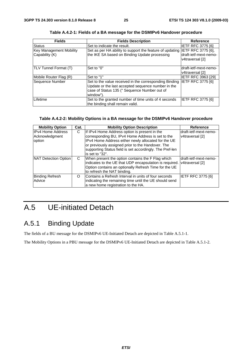| <b>Fields</b>                                    | <b>Fields Description</b>                                                                                                                                                 | Reference                                                      |
|--------------------------------------------------|---------------------------------------------------------------------------------------------------------------------------------------------------------------------------|----------------------------------------------------------------|
| <b>Status</b>                                    | Set to indicate the result.                                                                                                                                               | IETF RFC 3775 [6]                                              |
| <b>Key Management Mobility</b><br>Capability (K) | Set as per HA ability to support the feature of updating<br>the IKE SA based on Binding Update processing                                                                 | IETF RFC 3775 [6],<br>draft-ietf-mext-nemo-<br>v4traversal [2] |
| TLV Tunnel Format (T)                            | Set to "0"                                                                                                                                                                | draft-ietf-mext-nemo-<br>v4traversal [2]                       |
| Mobile Router Flag (R)                           | Set to "1"                                                                                                                                                                | IIETF RFC 3963 [29]                                            |
| Sequence Number                                  | Set to the value received in the corresponding Binding<br>Update or the last accepted sequence number in the<br>case of Status 135 (" Sequence Number out of<br>window"). | <b>IETF RFC 3775 [6]</b>                                       |
| Lifetime                                         | Set to the granted number of time units of 4 seconds<br>the binding shall remain valid.                                                                                   | IETF RFC 3775 [6]                                              |

**Table A.4.2-1: Fields of a BA message for the DSMIPv6 Handover procedure** 

### **Table A.4.2-2: Mobility Options in a BA message for the DSMIPv6 Handover procedure**

| <b>Mobility Option</b>                               | Cat. | <b>Mobility Option Description</b>                                                                                                                                                                                                                                                            | <b>Reference</b>                         |
|------------------------------------------------------|------|-----------------------------------------------------------------------------------------------------------------------------------------------------------------------------------------------------------------------------------------------------------------------------------------------|------------------------------------------|
| <b>IPv4 Home Address</b><br>Acknowledgment<br>option | C    | If IPv4 Home Address option is present in the<br>corresponding BU, IPv4 Home Address is set to the<br>IPv4 Home Address either newly allocated for the UE<br>or previously assigned prior to the Handover. The<br>supporting Status field is set accordingly. The Pref-len<br>is set to "32". | draft-ietf-mext-nemo-<br>v4traversal [2] |
| NAT Detection Option                                 | C    | When present the option contains the F Flag which<br>indicates to the UE that UDP encapsulation is required. v4traversal [2]<br>Option contains an optionally Refresh Time for the UE<br>to refresh the NAT binding.                                                                          | draft-ietf-mext-nemo-                    |
| <b>Binding Refresh</b><br>Advice                     | O    | Contains a Refresh Interval in units of four seconds<br>indicating the remaining time until the UE should send<br>a new home registration to the HA.                                                                                                                                          | <b>IETF RFC 3775 [6]</b>                 |

## A.5 UE-initiated Detach

## A.5.1 Binding Update

The fields of a BU message for the DSMIPv6 UE-Initiated Detach are depicted in Table A.5.1-1.

The Mobility Options in a PBU message for the DSMIPv6 UE-Initiated Detach are depicted in Table A.5.1-2.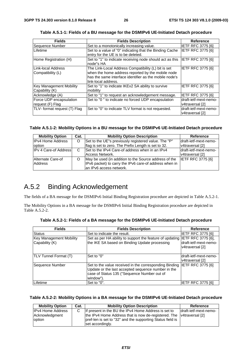| <b>Fields</b>                               | <b>Fields Description</b>                                                                                                                                                                 | <b>Reference</b>                         |
|---------------------------------------------|-------------------------------------------------------------------------------------------------------------------------------------------------------------------------------------------|------------------------------------------|
| Sequence Number                             | Set to a monotonically increasing value.                                                                                                                                                  | IETF RFC 3775 [6]                        |
| Lifetime                                    | Set to a value of "0" indicating that the Binding Cache<br>entry for the UE is to be deleted.                                                                                             | <b>IETF RFC 3775 [6]</b>                 |
| Home Registration (H)                       | Set to "1" to indicate receiving node should act as this<br>node"s HA                                                                                                                     | <b>IETF RFC 3775 [6]</b>                 |
| Link-local Address<br>Compatibility (L)     | The Link-Local Address Compatibility (L) bit is set<br>when the home address reported by the mobile node<br>has the same interface identifier as the mobile node's<br>link-local address. | <b>IETF RFC 3775 [6]</b>                 |
| Key Management Mobility<br>Capability (K)   | Set to "1" to indicate IKEv2 SA ability to survive<br>mobility                                                                                                                            | IETF RFC 3775 [6]                        |
| Acknowledge (A)                             | Set to "1" to request an acknowledgement message.                                                                                                                                         | <b>IETF RFC 3775 [6]</b>                 |
| Force UDP encapsulation<br>request (F) Flag | Set to "0" to indicate no forced UDP encapsulation                                                                                                                                        | draft-ietf-mext-nemo-<br>v4traversal [2] |
| TLV- format request (T) Flag                | Set to "0" to indicate TLV format is not requested.                                                                                                                                       | draft-ietf-mext-nemo-<br>v4traversal [2] |

**Table A.5.1-1: Fields of a BU message for the DSMIPv6 UE-Initiated Detach procedure** 

#### **Table A.5.1-2: Mobility Options in a BU message for the DSMIPv6 UE-Initiated Detach procedure**

| <b>Mobility Option</b>        | Cat. | <b>Mobility Option Description</b>                     | Reference                |
|-------------------------------|------|--------------------------------------------------------|--------------------------|
| <b>IPv4 Home Address</b>      | O    | Set to the UE"s previously registered value. The "P"   | Idraft-ietf-mext-nemo-   |
| option                        |      | flag is set to zero. The Prefix Length is set to 32.   | v4traversal [2]          |
| <b>IPv 4 Care-of Addressi</b> | C    | Set to the IPv4 Care-of address when in an IPv4        | ldraft-ietf-mext-nemo-   |
|                               |      | Access Network.                                        | v4traversal [2]          |
| Alternate Care-of             |      | May be used (in addition to the Source address of the  | <b>IETF RFC 3775 [6]</b> |
| Address                       |      | IPv6 packet) to carry the IPv6 care-of address when in |                          |
|                               |      | lan IPv6 access network.                               |                          |

## A.5.2 Binding Acknowledgement

The fields of a BA message for the DSMIPv6 Initial Binding Registration procedure are depicted in Table A.5.2-1.

The Mobility Options in a BA message for the DSMIPv6 Initial Binding Registration procedure are depicted in Table A.5.2-2.

| <b>Fields</b>                                    | <b>Fields Description</b>                                                                                                                                                | Reference                                                             |
|--------------------------------------------------|--------------------------------------------------------------------------------------------------------------------------------------------------------------------------|-----------------------------------------------------------------------|
| Status                                           | Set to indicate the result.                                                                                                                                              | <b>IETF RFC 3775 [6]</b>                                              |
| <b>Key Management Mobility</b><br>Capability (K) | Set as per HA ability to support the feature of updating<br>the IKE SA based on Binding Update processing                                                                | <b>IETF RFC 3775 [6],</b><br>draft-ietf-mext-nemo-<br>v4traversal [2] |
| <b>TLV Tunnel Format (T)</b>                     | Set to "0"                                                                                                                                                               | ldraft-ietf-mext-nemo-<br>v4traversal [2]                             |
| Sequence Number                                  | Set to the value received in the corresponding Binding<br>Update or the last accepted sequence number in the<br>case of Status 135 ("Sequence Number out of<br>window"). | IETF RFC 3775 [6]                                                     |
| Lifetime                                         | Set to "0".                                                                                                                                                              | <b>IETF RFC 3775 [6]</b>                                              |

**Table A.5.2-1: Fields of a BA message for the DSMIPv6 UE-Initiated Detach procedure** 

#### **Table A.5.2-2: Mobility Options in a BA message for the DSMIPv6 UE-Initiated Detach procedure**

| <b>Mobility Option</b>   | Cat. | <b>Mobility Option Description</b>                                   | Reference              |
|--------------------------|------|----------------------------------------------------------------------|------------------------|
| <b>IPv4 Home Address</b> |      | If present in the BU the IPv4 Home Address is set to                 | ldraft-ietf-mext-nemo- |
| Acknowledgment           |      | the IPv4 Home Address that is now de-registered. The V4traversal [2] |                        |
| <b>loption</b>           |      | pref-len is set to "32" and the supporting Status field is           |                        |
|                          |      | set accordingly.                                                     |                        |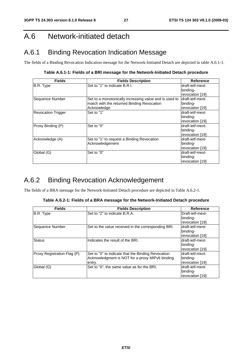## A.6 Network-initiated detach

## A.6.1 Binding Revocation Indication Message

The fields of a Binding Revocation Indication message for the Network-Initiated Detach are depicted in table A.6.1-1.

**Table A.6.1-1: Fields of a BRI message for the Network-Initiated Detach procedure** 

| <b>Fields</b>             | <b>Fields Description</b>                              | Reference        |
|---------------------------|--------------------------------------------------------|------------------|
| B.R. Type                 | Set to "1" to indicate B.R.I.                          | draft-ietf-mext- |
|                           |                                                        | binding-         |
|                           |                                                        | revocation [19]  |
| Sequence Number           | Set to a monotonically increasing value and is used to | draft-ietf-mext- |
|                           | match with the returned Binding Revocation             | binding-         |
|                           | Acknowledge                                            | revocation [19]  |
| <b>Revocation Trigger</b> | Set to "1"                                             | draft-ietf-mext- |
|                           |                                                        | binding-         |
|                           |                                                        | revocation [19]  |
| Proxy Binding (P)         | Set to "0"                                             | draft-ietf-mext- |
|                           |                                                        | binding-         |
|                           |                                                        | revocation [19]  |
| Acknowledge (A)           | Set to "1" to request a Binding Revocation             | draft-ietf-mext- |
|                           | Acknowledgement                                        | binding-         |
|                           |                                                        | revocation [19]  |
| Global (G)                | Set to "0"                                             | draft-ietf-mext- |
|                           |                                                        | binding-         |
|                           |                                                        | revocation [19]  |

## A.6.2 Binding Revocation Acknowledgement

The fields of a BRA message for the Network-Initiated Detach procedure are depicted in Table A.6.2-1.

|  | Table A.6.2-1: Fields of a BRA message for the Network-Initiated Detach procedure |
|--|-----------------------------------------------------------------------------------|
|--|-----------------------------------------------------------------------------------|

| <b>Fields</b>               | <b>Fields Description</b>                           | <b>Reference</b>  |  |
|-----------------------------|-----------------------------------------------------|-------------------|--|
| B.R. Type                   | Set to "2" to indicate B.R.A.                       | Draft-ietf-mext-  |  |
|                             |                                                     | binding-          |  |
|                             |                                                     | revocation [19]   |  |
| Sequence Number             | Set to the value received in the corresponding BRI. | Idraft-ietf-mext- |  |
|                             |                                                     | binding-          |  |
|                             |                                                     | revocation [19]   |  |
| <b>Status</b>               | Indicates the result of the BRI.                    | Idraft-ietf-mext- |  |
|                             |                                                     | binding-          |  |
|                             |                                                     | revocation [19]   |  |
| Proxy Registration Flag (P) | Set to "0" to indicate that the Binding Revocation  | draft-ietf-mext-  |  |
|                             | Acknowledgment is NOT for a proxy MIPv6 binding     | binding-          |  |
|                             | entry.                                              | revocation [19]   |  |
| Global (G)                  | Set to "0"; the same value as for the BRI.          | Idraft-ietf-mext- |  |
|                             |                                                     | binding-          |  |
|                             |                                                     | revocation [19]   |  |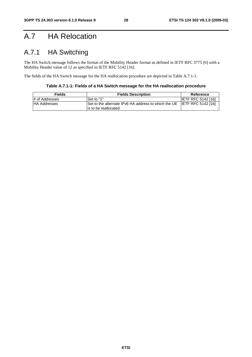## A.7 HA Relocation

## A.7.1 HA Switching

The HA Switch message follows the format of the Mobility Header format as defined in IETF RFC 3775 [6] with a Mobility Header value of 12 as specified in IETF RFC 5142 [16].

The fields of the HA Switch message for the HA reallocation procedure are depicted in Table A.7.1-1.

**Table A.7.1-1: Fields of a HA Switch message for the HA reallocation procedure** 

| <b>Fields</b>       | <b>Fields Description</b>                                                                                                       | Reference                 |  |  |
|---------------------|---------------------------------------------------------------------------------------------------------------------------------|---------------------------|--|--|
| # of Addresses      | Set to "1"                                                                                                                      | <b>IETF RFC 5142 [16]</b> |  |  |
| <b>HA Addresses</b> | $\overline{S}$ Set to the alternate IPv6 HA address to which the UE $\overline{S}$ IIETF RFC 5142 [16]<br>lis to be reallocated |                           |  |  |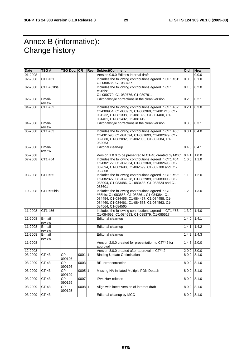## Annex B (informative): Change history

| Date    | TSG #            | TSG Doc.   CR |          | <b>Rev Subject/Comment</b>                                                                                                                                                                                              | Old   | <b>New</b> |
|---------|------------------|---------------|----------|-------------------------------------------------------------------------------------------------------------------------------------------------------------------------------------------------------------------------|-------|------------|
| 01-2008 |                  |               |          | Version 0.0.0 Editor's internal draft                                                                                                                                                                                   |       | 0.0.0      |
| 02-2008 | CT1 #51          |               |          | Includes the following contributions agreed in CT1 #51:<br>C1-080436, C1-080437                                                                                                                                         | 0.0.0 | 0.1.0      |
| 02-2008 | CT1 #51bis       |               |          | Includes the following contributions agreed in CT1<br>#51bis:<br>C1-080770, C1-080776, C1-080791.                                                                                                                       | 0.1.0 | 0.2.0      |
| 02-2008 | Email-<br>review |               |          | Editorial/style corrections in the clean version                                                                                                                                                                        | 0.2.0 | 0.2.1      |
| 04-2008 | CT1 #52          |               |          | Includes the following contributions agreed in CT1 #52:<br>C1-080954, C1-080959, C1-080960, C1-081213, C1-<br>081232, C1-081398, C1-081399, C1-081400, C1-<br>081401, C1-081402, C1-081419                              | 0.2.1 | 0.3.0      |
| 04-2008 | Email-<br>review |               |          | Editorial/style corrections in the clean version                                                                                                                                                                        | 0.3.0 | 0.3.1      |
| 05-2008 | CT1 #53          |               |          | Includes the following contributions agreed in CT1 #53:<br>C1-081590, C1-081594, C1-081693, C1-082079, C1-<br>082080, C1-082082, C1-082083, C1-082084, C1-<br>082063                                                    | 0.3.1 | 0.4.0      |
| 05-2008 | Email-<br>review |               |          | Editorial clean-up                                                                                                                                                                                                      | 0.4.0 | 0.4.1      |
| 05-2008 |                  |               |          | Version 1.0.0 to be presented to CT-40 created by MCC                                                                                                                                                                   | 0.4.1 | 1.0.0      |
| 07-2008 | CT1 #54          |               |          | Includes the following contributions agreed in CT1 #54:<br>C1-082122, C1-082364, C1-082368, C1-082693, C1-<br>082694, C1-082698, C1-082699, C1-082700 and C1-<br>082808                                                 | 1.0.0 | 1.1.0      |
| 08-2008 | CT1 #55          |               |          | Includes the following contributions agreed in CT1 #55:<br>C1-082827, C1-082828, C1-082989, C1-083003, C1-<br>083004, C1-083486, C1-083488, C1-083524 and C1-<br>083601                                                 | 1.1.0 | 1.2.0      |
| 10-2008 | CT1 #55bis       |               |          | Includes the following contributions agreed in CT1<br>#55bis: C1-083858, C1-083861, C1-084384, C1-<br>084454, C1-084455, C1-084457, C1-084458, C1-<br>084460, C1-084461, C1-084553, C1-084563, C1-<br>084564, C1-084565 | 1.2.0 | 1.30       |
| 11-2008 | CT1 #56          |               |          | Includes the following contributions agreed in CT1 #56:<br>C1-084692, C1-084693, C1-085379, C1-085517                                                                                                                   | 1.3.0 | 1.4.0      |
| 11-2008 | E-mail<br>review |               |          | Editorial clean-up                                                                                                                                                                                                      | 1.4.0 | 1.4.1      |
| 11-2008 | E-mail<br>review |               |          | Editorial clean-up                                                                                                                                                                                                      | 1.4.1 | 1.4.2      |
| 11-2008 | E-mail<br>review |               |          | Editorial clean-up                                                                                                                                                                                                      | 1.4.2 | 1.4.3      |
| 11-2008 |                  |               |          | Version 2.0.0 created for presentation to CT#42 for<br>approval                                                                                                                                                         | 1.4.3 | 2.0.0      |
| 12-2008 |                  |               |          | Version 8.0.0 created after approval in CT#42                                                                                                                                                                           | 2.0.0 | 8.0.0      |
| 03-2009 | CT-43            | CP-<br>090126 | 00011    | <b>Binding Update Optimization</b>                                                                                                                                                                                      | 8.0.0 | 8.1.0      |
| 03-2009 | CT-43            | CP-<br>090126 | 0003     | <b>BRI</b> error correction                                                                                                                                                                                             | 8.0.0 | 8.1.0      |
| 03-2009 | CT-43            | CP-<br>090129 | $0005$ 1 | Missing HA Initiated Multiple PDN Detach                                                                                                                                                                                | 8.0.0 | 8.1.0      |
| 03-2009 | CT-43            | CP-<br>090129 | 0007     | IPv4 HoA release                                                                                                                                                                                                        | 8.0.0 | 8.1.0      |
| 03-2009 | $CT-43$          | CP-<br>090125 | 0008 1   | Align with latest version of internet draft                                                                                                                                                                             | 8.0.0 | 8.1.0      |
| 03-2009 | $CT-43$          |               |          | Editorial cleanup by MCC                                                                                                                                                                                                | 8.0.0 | 8.1.0      |